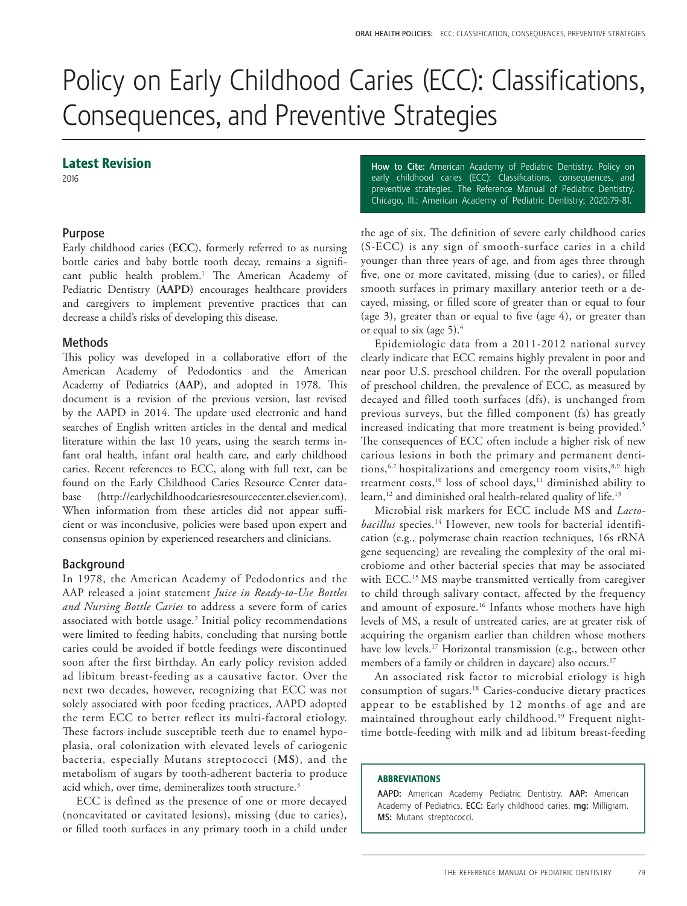# Policy on Early Childhood Caries (ECC): Classifications, Consequences, and Preventive Strategies

# Latest Revision

2016

## Purpose

Early childhood caries (**ECC**), formerly referred to as nursing bottle caries and baby bottle tooth decay, remains a significant public health problem.<sup>1</sup> The American Academy of Pediatric Dentistry (**AAPD**) encourages healthcare providers and caregivers to implement preventive practices that can decrease a child's risks of developing this disease.

#### Methods

This policy was developed in a collaborative effort of the American Academy of Pedodontics and the American Academy of Pediatrics (**AAP**), and adopted in 1978. This document is a revision of the previous version, last revised by the AAPD in 2014. The update used electronic and hand searches of English written articles in the dental and medical literature within the last 10 years, using the search terms infant oral health, infant oral health care, and early childhood caries. Recent references to ECC, along with full text, can be found on the Early Childhood Caries Resource Center database (http://earlychildhoodcariesresourcecenter.elsevier.com). When information from these articles did not appear sufficient or was inconclusive, policies were based upon expert and consensus opinion by experienced researchers and clinicians.

#### Background

In 1978, the American Academy of Pedodontics and the AAP released a joint statement *Juice in Ready-to-Use Bottles and Nursing Bottle Caries* to address a severe form of caries associated with bottle usage. $^2$  Initial policy recommendations were limited to feeding habits, concluding that nursing bottle caries could be avoided if bottle feedings were discontinued soon after the first birthday. An early policy revision added ad libitum breast-feeding as a causative factor. Over the next two decades, however, recognizing that ECC was not solely associated with poor feeding practices, AAPD adopted the term ECC to better reflect its multi-factoral etiology. These factors include susceptible teeth due to enamel hypoplasia, oral colonization with elevated levels of cariogenic bacteria, especially Mutans streptococci (**MS**), and the metabolism of sugars by tooth-adherent bacteria to produce acid which, over time, demineralizes tooth structure.<sup>3</sup>

ECC is defined as the presence of one or more decayed (noncavitated or cavitated lesions), missing (due to caries), or filled tooth surfaces in any primary tooth in a child under

How to Cite: American Academy of Pediatric Dentistry. Policy on early childhood caries (ECC): Classifications, consequences, and preventive strategies. The Reference Manual of Pediatric Dentistry. Chicago, Ill.: American Academy of Pediatric Dentistry; 2020:79-81.

the age of six. The definition of severe early childhood caries (S-ECC) is any sign of smooth-surface caries in a child younger than three years of age, and from ages three through five, one or more cavitated, missing (due to caries), or filled smooth surfaces in primary maxillary anterior teeth or a decayed, missing, or filled score of greater than or equal to four (age 3), greater than or equal to five (age 4), or greater than or equal to six (age 5).<sup>4</sup>

Epidemiologic data from a 2011-2012 national survey clearly indicate that ECC remains highly prevalent in poor and near poor U.S. preschool children. For the overall population of preschool children, the prevalence of ECC, as measured by decayed and filled tooth surfaces (dfs), is unchanged from previous surveys, but the filled component (fs) has greatly increased indicating that more treatment is being provided.<sup>5</sup> The consequences of ECC often include a higher risk of new carious lesions in both the primary and permanent dentitions,  $6,7$  hospitalizations and emergency room visits,  $8,9$  high treatment costs,<sup>10</sup> loss of school days,<sup>11</sup> diminished ability to learn,<sup>12</sup> and diminished oral health-related quality of life.<sup>13</sup>

Microbial risk markers for ECC include MS and *Lactobacillus* species.14 However, new tools for bacterial identification (e.g., polymerase chain reaction techniques, 16s rRNA gene sequencing) are revealing the complexity of the oral microbiome and other bacterial species that may be associated with ECC.<sup>15</sup> MS maybe transmitted vertically from caregiver to child through salivary contact, affected by the frequency and amount of exposure.<sup>16</sup> Infants whose mothers have high levels of MS, a result of untreated caries, are at greater risk of acquiring the organism earlier than children whose mothers have low levels.<sup>17</sup> Horizontal transmission (e.g., between other members of a family or children in daycare) also occurs.<sup>17</sup>

An associated risk factor to microbial etiology is high consumption of sugars.18 Caries-conducive dietary practices appear to be established by 12 months of age and are maintained throughout early childhood.<sup>19</sup> Frequent nighttime bottle-feeding with milk and ad libitum breast-feeding

#### ABBREVIATIONS

AAPD: American Academy Pediatric Dentistry. AAP: American Academy of Pediatrics. ECC: Early childhood caries. mg: Milligram. MS: Mutans streptococci.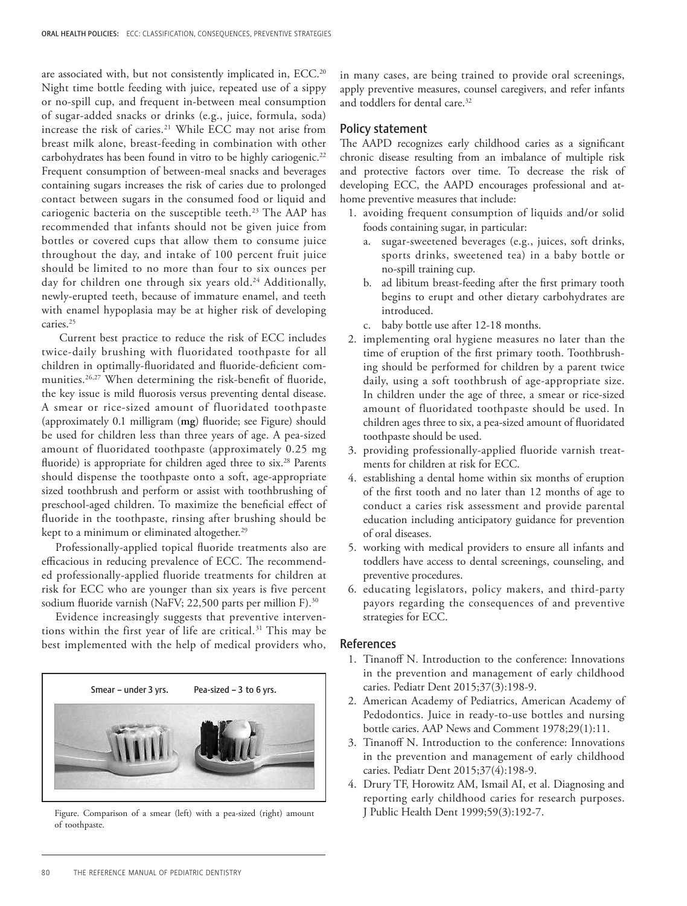are associated with, but not consistently implicated in, ECC.<sup>20</sup> Night time bottle feeding with juice, repeated use of a sippy or no-spill cup, and frequent in-between meal consumption of sugar-added snacks or drinks (e.g., juice, formula, soda) increase the risk of caries.21 While ECC may not arise from breast milk alone, breast-feeding in combination with other carbohydrates has been found in vitro to be highly cariogenic.<sup>22</sup> Frequent consumption of between-meal snacks and beverages containing sugars increases the risk of caries due to prolonged contact between sugars in the consumed food or liquid and cariogenic bacteria on the susceptible teeth.<sup>23</sup> The AAP has recommended that infants should not be given juice from bottles or covered cups that allow them to consume juice throughout the day, and intake of 100 percent fruit juice should be limited to no more than four to six ounces per day for children one through six years old.<sup>24</sup> Additionally, newly-erupted teeth, because of immature enamel, and teeth with enamel hypoplasia may be at higher risk of developing caries.<sup>25</sup>

 Current best practice to reduce the risk of ECC includes twice-daily brushing with fluoridated toothpaste for all children in optimally-fluoridated and fluoride-deficient communities.26,27 When determining the risk-benefit of fluoride, the key issue is mild fluorosis versus preventing dental disease. A smear or rice-sized amount of fluoridated toothpaste (approximately 0.1 milligram (**mg**) fluoride; see Figure) should be used for children less than three years of age. A pea-sized amount of fluoridated toothpaste (approximately 0.25 mg fluoride) is appropriate for children aged three to six.<sup>28</sup> Parents should dispense the toothpaste onto a soft, age-appropriate sized toothbrush and perform or assist with toothbrushing of preschool-aged children. To maximize the beneficial effect of fluoride in the toothpaste, rinsing after brushing should be kept to a minimum or eliminated altogether.<sup>29</sup>

Professionally-applied topical fluoride treatments also are efficacious in reducing prevalence of ECC. The recommended professionally-applied fluoride treatments for children at risk for ECC who are younger than six years is five percent sodium fluoride varnish (NaFV; 22,500 parts per million F).<sup>30</sup>

Evidence increasingly suggests that preventive interventions within the first year of life are critical.<sup>31</sup> This may be best implemented with the help of medical providers who,



Figure. Comparison of a smear (left) with a pea-sized (right) amount J Public Health Dent 1999;59(3):192-7. of toothpaste.

in many cases, are being trained to provide oral screenings, apply preventive measures, counsel caregivers, and refer infants and toddlers for dental care.32

### Policy statement

The AAPD recognizes early childhood caries as a significant chronic disease resulting from an imbalance of multiple risk and protective factors over time. To decrease the risk of developing ECC, the AAPD encourages professional and athome preventive measures that include:

- 1. avoiding frequent consumption of liquids and/or solid foods containing sugar, in particular:
	- a. sugar-sweetened beverages (e.g., juices, soft drinks, sports drinks, sweetened tea) in a baby bottle or no-spill training cup.
	- b. ad libitum breast-feeding after the first primary tooth begins to erupt and other dietary carbohydrates are introduced.
	- c. baby bottle use after 12-18 months.
- 2. implementing oral hygiene measures no later than the time of eruption of the first primary tooth. Toothbrushing should be performed for children by a parent twice daily, using a soft toothbrush of age-appropriate size. In children under the age of three, a smear or rice-sized amount of fluoridated toothpaste should be used. In children ages three to six, a pea-sized amount of fluoridated toothpaste should be used.
- 3. providing professionally-applied fluoride varnish treatments for children at risk for ECC.
- 4. establishing a dental home within six months of eruption of the first tooth and no later than 12 months of age to conduct a caries risk assessment and provide parental education including anticipatory guidance for prevention of oral diseases.
- 5. working with medical providers to ensure all infants and toddlers have access to dental screenings, counseling, and preventive procedures.
- 6. educating legislators, policy makers, and third-party payors regarding the consequences of and preventive strategies for ECC.

## References

- 1. Tinanoff N. Introduction to the conference: Innovations in the prevention and management of early childhood caries. Pediatr Dent 2015;37(3):198-9.
- 2. American Academy of Pediatrics, American Academy of Pedodontics. Juice in ready-to-use bottles and nursing bottle caries. AAP News and Comment 1978;29(1):11.
- 3. Tinanoff N. Introduction to the conference: Innovations in the prevention and management of early childhood caries. Pediatr Dent 2015;37(4):198-9.
- 4. Drury TF, Horowitz AM, Ismail AI, et al. Diagnosing and reporting early childhood caries for research purposes.